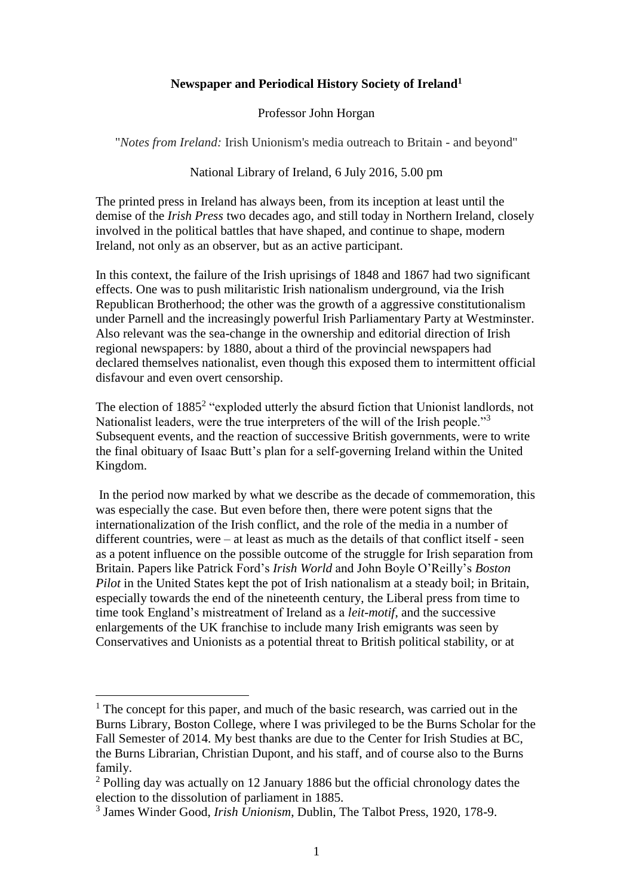## **Newspaper and Periodical History Society of Ireland<sup>1</sup>**

Professor John Horgan

"*Notes from Ireland:* Irish Unionism's media outreach to Britain - and beyond"

## National Library of Ireland, 6 July 2016, 5.00 pm

The printed press in Ireland has always been, from its inception at least until the demise of the *Irish Press* two decades ago, and still today in Northern Ireland, closely involved in the political battles that have shaped, and continue to shape, modern Ireland, not only as an observer, but as an active participant.

In this context, the failure of the Irish uprisings of 1848 and 1867 had two significant effects. One was to push militaristic Irish nationalism underground, via the Irish Republican Brotherhood; the other was the growth of a aggressive constitutionalism under Parnell and the increasingly powerful Irish Parliamentary Party at Westminster. Also relevant was the sea-change in the ownership and editorial direction of Irish regional newspapers: by 1880, about a third of the provincial newspapers had declared themselves nationalist, even though this exposed them to intermittent official disfavour and even overt censorship.

The election of 1885<sup>2</sup> "exploded utterly the absurd fiction that Unionist landlords, not Nationalist leaders, were the true interpreters of the will of the Irish people."<sup>3</sup> Subsequent events, and the reaction of successive British governments, were to write the final obituary of Isaac Butt's plan for a self-governing Ireland within the United Kingdom.

In the period now marked by what we describe as the decade of commemoration, this was especially the case. But even before then, there were potent signs that the internationalization of the Irish conflict, and the role of the media in a number of different countries, were – at least as much as the details of that conflict itself - seen as a potent influence on the possible outcome of the struggle for Irish separation from Britain. Papers like Patrick Ford's *Irish World* and John Boyle O'Reilly's *Boston Pilot* in the United States kept the pot of Irish nationalism at a steady boil; in Britain, especially towards the end of the nineteenth century, the Liberal press from time to time took England's mistreatment of Ireland as a *leit-motif*, and the successive enlargements of the UK franchise to include many Irish emigrants was seen by Conservatives and Unionists as a potential threat to British political stability, or at

 $<sup>1</sup>$  The concept for this paper, and much of the basic research, was carried out in the</sup> Burns Library, Boston College, where I was privileged to be the Burns Scholar for the Fall Semester of 2014. My best thanks are due to the Center for Irish Studies at BC, the Burns Librarian, Christian Dupont, and his staff, and of course also to the Burns family.

<sup>&</sup>lt;sup>2</sup> Polling day was actually on 12 January 1886 but the official chronology dates the election to the dissolution of parliament in 1885.

<sup>3</sup> James Winder Good, *Irish Unionism*, Dublin, The Talbot Press, 1920, 178-9.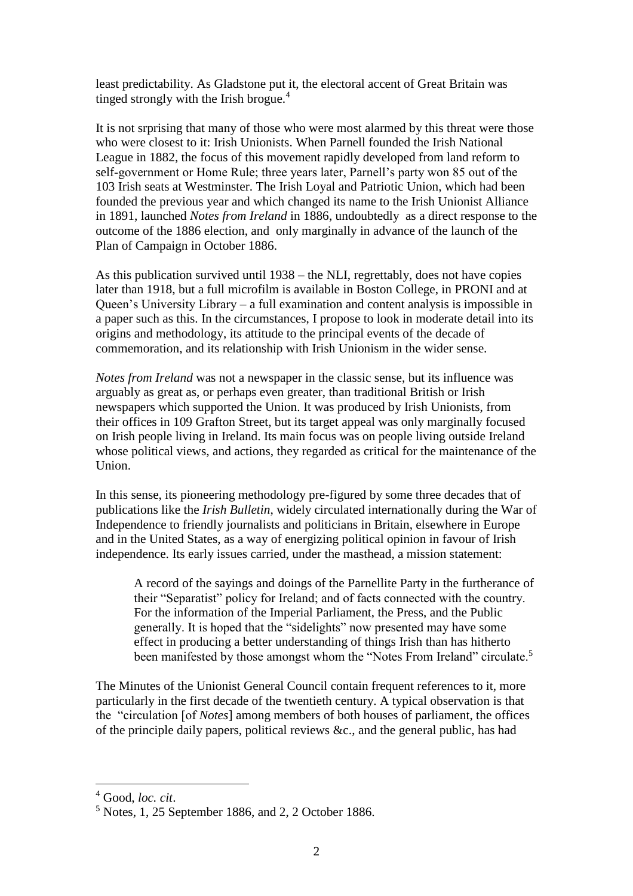least predictability. As Gladstone put it, the electoral accent of Great Britain was tinged strongly with the Irish brogue.<sup>4</sup>

It is not srprising that many of those who were most alarmed by this threat were those who were closest to it: Irish Unionists. When Parnell founded the Irish National League in 1882, the focus of this movement rapidly developed from land reform to self-government or Home Rule; three years later, Parnell's party won 85 out of the 103 Irish seats at Westminster. The Irish Loyal and Patriotic Union, which had been founded the previous year and which changed its name to the Irish Unionist Alliance in 1891, launched *Notes from Ireland* in 1886, undoubtedly as a direct response to the outcome of the 1886 election, and only marginally in advance of the launch of the Plan of Campaign in October 1886.

As this publication survived until 1938 – the NLI, regrettably, does not have copies later than 1918, but a full microfilm is available in Boston College, in PRONI and at Queen's University Library – a full examination and content analysis is impossible in a paper such as this. In the circumstances, I propose to look in moderate detail into its origins and methodology, its attitude to the principal events of the decade of commemoration, and its relationship with Irish Unionism in the wider sense.

*Notes from Ireland* was not a newspaper in the classic sense, but its influence was arguably as great as, or perhaps even greater, than traditional British or Irish newspapers which supported the Union. It was produced by Irish Unionists, from their offices in 109 Grafton Street, but its target appeal was only marginally focused on Irish people living in Ireland. Its main focus was on people living outside Ireland whose political views, and actions, they regarded as critical for the maintenance of the Union.

In this sense, its pioneering methodology pre-figured by some three decades that of publications like the *Irish Bulletin*, widely circulated internationally during the War of Independence to friendly journalists and politicians in Britain, elsewhere in Europe and in the United States, as a way of energizing political opinion in favour of Irish independence. Its early issues carried, under the masthead, a mission statement:

A record of the sayings and doings of the Parnellite Party in the furtherance of their "Separatist" policy for Ireland; and of facts connected with the country. For the information of the Imperial Parliament, the Press, and the Public generally. It is hoped that the "sidelights" now presented may have some effect in producing a better understanding of things Irish than has hitherto been manifested by those amongst whom the "Notes From Ireland" circulate.<sup>5</sup>

The Minutes of the Unionist General Council contain frequent references to it, more particularly in the first decade of the twentieth century. A typical observation is that the "circulation [of *Notes*] among members of both houses of parliament, the offices of the principle daily papers, political reviews &c., and the general public, has had

<sup>4</sup> Good, *loc. cit*.

<sup>5</sup> Notes, 1, 25 September 1886, and 2, 2 October 1886.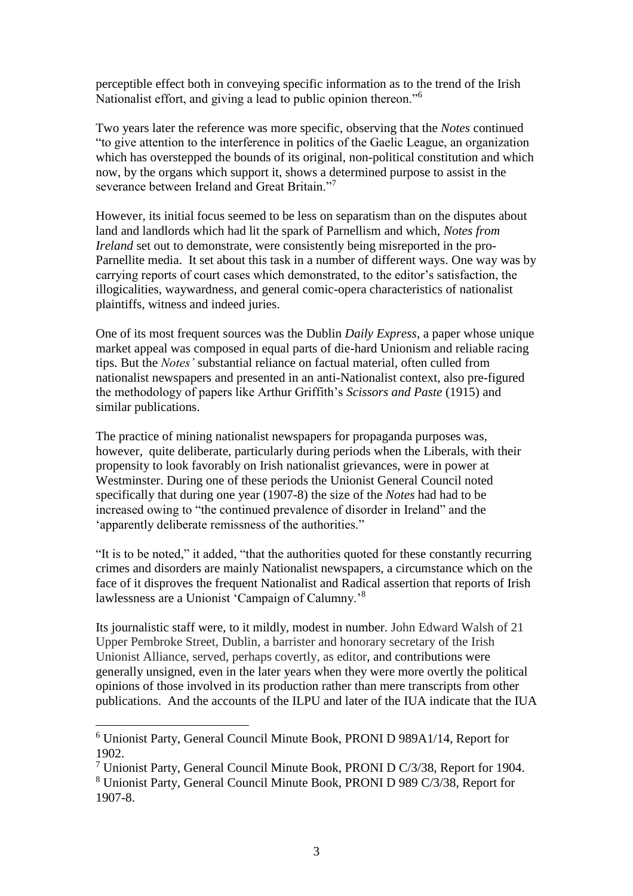perceptible effect both in conveying specific information as to the trend of the Irish Nationalist effort, and giving a lead to public opinion thereon."<sup>6</sup>

Two years later the reference was more specific, observing that the *Notes* continued "to give attention to the interference in politics of the Gaelic League, an organization which has overstepped the bounds of its original, non-political constitution and which now, by the organs which support it, shows a determined purpose to assist in the severance between Ireland and Great Britain."<sup>7</sup>

However, its initial focus seemed to be less on separatism than on the disputes about land and landlords which had lit the spark of Parnellism and which, *Notes from Ireland* set out to demonstrate, were consistently being misreported in the pro-Parnellite media. It set about this task in a number of different ways. One way was by carrying reports of court cases which demonstrated, to the editor's satisfaction, the illogicalities, waywardness, and general comic-opera characteristics of nationalist plaintiffs, witness and indeed juries.

One of its most frequent sources was the Dublin *Daily Express*, a paper whose unique market appeal was composed in equal parts of die-hard Unionism and reliable racing tips. But the *Notes'* substantial reliance on factual material, often culled from nationalist newspapers and presented in an anti-Nationalist context, also pre-figured the methodology of papers like Arthur Griffith's *Scissors and Paste* (1915) and similar publications.

The practice of mining nationalist newspapers for propaganda purposes was, however, quite deliberate, particularly during periods when the Liberals, with their propensity to look favorably on Irish nationalist grievances, were in power at Westminster. During one of these periods the Unionist General Council noted specifically that during one year (1907-8) the size of the *Notes* had had to be increased owing to "the continued prevalence of disorder in Ireland" and the 'apparently deliberate remissness of the authorities."

"It is to be noted," it added, "that the authorities quoted for these constantly recurring crimes and disorders are mainly Nationalist newspapers, a circumstance which on the face of it disproves the frequent Nationalist and Radical assertion that reports of Irish lawlessness are a Unionist 'Campaign of Calumny.'<sup>8</sup>

Its journalistic staff were, to it mildly, modest in number. John Edward Walsh of 21 Upper Pembroke Street, Dublin, a barrister and honorary secretary of the Irish Unionist Alliance, served, perhaps covertly, as editor, and contributions were generally unsigned, even in the later years when they were more overtly the political opinions of those involved in its production rather than mere transcripts from other publications. And the accounts of the ILPU and later of the IUA indicate that the IUA

<sup>6</sup> Unionist Party, General Council Minute Book, PRONI D 989A1/14, Report for 1902.

<sup>7</sup> Unionist Party, General Council Minute Book, PRONI D C/3/38, Report for 1904. <sup>8</sup> Unionist Party, General Council Minute Book, PRONI D 989 C/3/38, Report for 1907-8.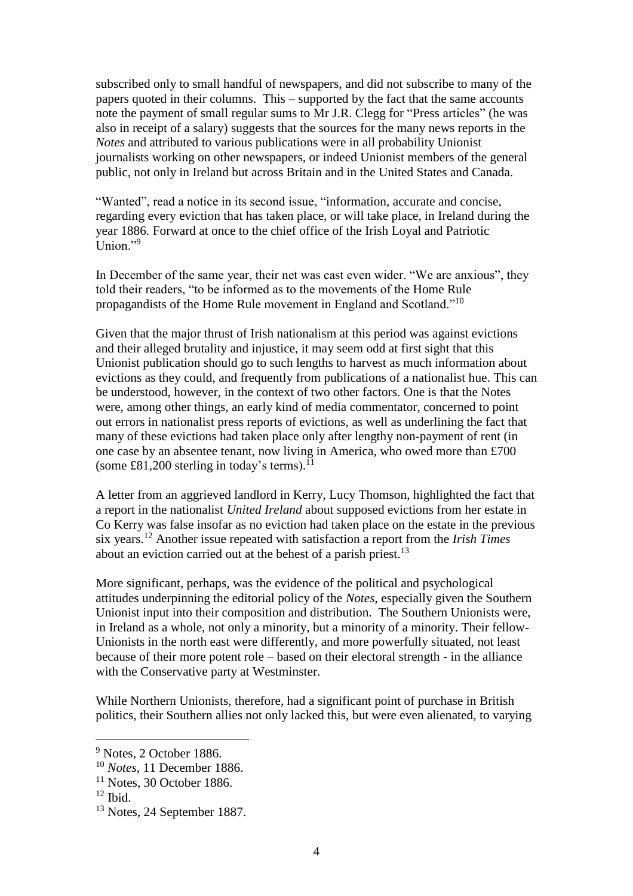subscribed only to small handful of newspapers, and did not subscribe to many of the papers quoted in their columns. This – supported by the fact that the same accounts note the payment of small regular sums to Mr J.R. Clegg for "Press articles" (he was also in receipt of a salary) suggests that the sources for the many news reports in the *Notes* and attributed to various publications were in all probability Unionist journalists working on other newspapers, or indeed Unionist members of the general public, not only in Ireland but across Britain and in the United States and Canada.

"Wanted", read a notice in its second issue, "information, accurate and concise, regarding every eviction that has taken place, or will take place, in Ireland during the year 1886. Forward at once to the chief office of the Irish Loyal and Patriotic Union $"$ <sup>9</sup>

In December of the same year, their net was cast even wider. "We are anxious", they told their readers, "to be informed as to the movements of the Home Rule propagandists of the Home Rule movement in England and Scotland."<sup>10</sup>

Given that the major thrust of Irish nationalism at this period was against evictions and their alleged brutality and injustice, it may seem odd at first sight that this Unionist publication should go to such lengths to harvest as much information about evictions as they could, and frequently from publications of a nationalist hue. This can be understood, however, in the context of two other factors. One is that the Notes were, among other things, an early kind of media commentator, concerned to point out errors in nationalist press reports of evictions, as well as underlining the fact that many of these evictions had taken place only after lengthy non-payment of rent (in one case by an absentee tenant, now living in America, who owed more than £700 (some £81,200 sterling in today's terms). $^{11}$ 

A letter from an aggrieved landlord in Kerry, Lucy Thomson, highlighted the fact that a report in the nationalist *United Ireland* about supposed evictions from her estate in Co Kerry was false insofar as no eviction had taken place on the estate in the previous six years.<sup>12</sup> Another issue repeated with satisfaction a report from the *Irish Times* about an eviction carried out at the behest of a parish priest.<sup>13</sup>

More significant, perhaps, was the evidence of the political and psychological attitudes underpinning the editorial policy of the *Notes*, especially given the Southern Unionist input into their composition and distribution. The Southern Unionists were, in Ireland as a whole, not only a minority, but a minority of a minority. Their fellow-Unionists in the north east were differently, and more powerfully situated, not least because of their more potent role – based on their electoral strength - in the alliance with the Conservative party at Westminster.

While Northern Unionists, therefore, had a significant point of purchase in British politics, their Southern allies not only lacked this, but were even alienated, to varying

<sup>&</sup>lt;sup>9</sup> Notes, 2 October 1886.

<sup>10</sup> *Notes*, 11 December 1886.

 $11$  Notes, 30 October 1886.

 $12$  Ibid.

<sup>13</sup> Notes, 24 September 1887.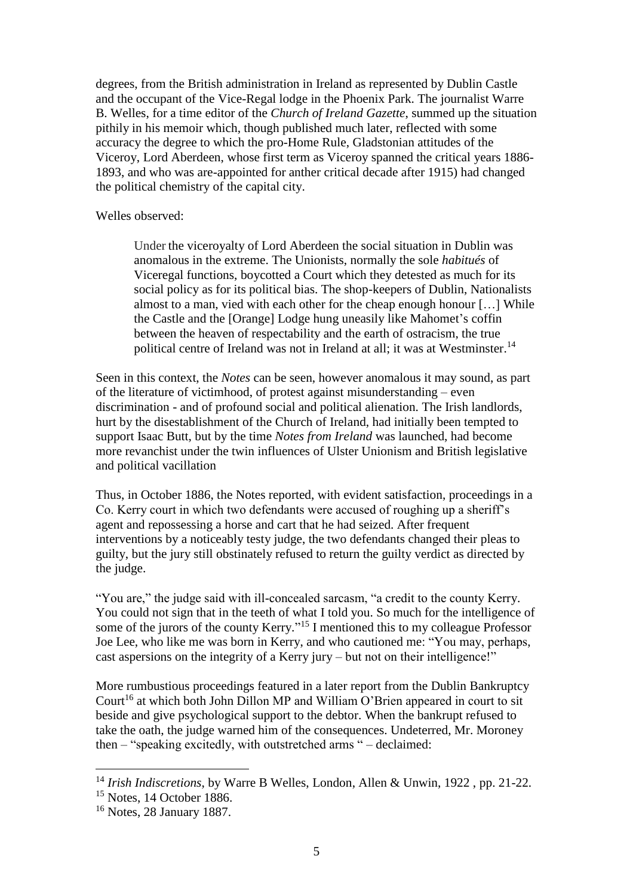degrees, from the British administration in Ireland as represented by Dublin Castle and the occupant of the Vice-Regal lodge in the Phoenix Park. The journalist Warre B. Welles, for a time editor of the *Church of Ireland Gazette*, summed up the situation pithily in his memoir which, though published much later, reflected with some accuracy the degree to which the pro-Home Rule, Gladstonian attitudes of the Viceroy, Lord Aberdeen, whose first term as Viceroy spanned the critical years 1886- 1893, and who was are-appointed for anther critical decade after 1915) had changed the political chemistry of the capital city.

## Welles observed:

Under the viceroyalty of Lord Aberdeen the social situation in Dublin was anomalous in the extreme. The Unionists, normally the sole *habitués* of Viceregal functions, boycotted a Court which they detested as much for its social policy as for its political bias. The shop-keepers of Dublin, Nationalists almost to a man, vied with each other for the cheap enough honour […] While the Castle and the [Orange] Lodge hung uneasily like Mahomet's coffin between the heaven of respectability and the earth of ostracism, the true political centre of Ireland was not in Ireland at all; it was at Westminster.<sup>14</sup>

Seen in this context, the *Notes* can be seen, however anomalous it may sound, as part of the literature of victimhood, of protest against misunderstanding – even discrimination - and of profound social and political alienation. The Irish landlords, hurt by the disestablishment of the Church of Ireland, had initially been tempted to support Isaac Butt, but by the time *Notes from Ireland* was launched, had become more revanchist under the twin influences of Ulster Unionism and British legislative and political vacillation

Thus, in October 1886, the Notes reported, with evident satisfaction, proceedings in a Co. Kerry court in which two defendants were accused of roughing up a sheriff's agent and repossessing a horse and cart that he had seized. After frequent interventions by a noticeably testy judge, the two defendants changed their pleas to guilty, but the jury still obstinately refused to return the guilty verdict as directed by the judge.

"You are," the judge said with ill-concealed sarcasm, "a credit to the county Kerry. You could not sign that in the teeth of what I told you. So much for the intelligence of some of the jurors of the county Kerry."<sup>15</sup> I mentioned this to my colleague Professor Joe Lee, who like me was born in Kerry, and who cautioned me: "You may, perhaps, cast aspersions on the integrity of a Kerry jury – but not on their intelligence!"

More rumbustious proceedings featured in a later report from the Dublin Bankruptcy Court<sup>16</sup> at which both John Dillon MP and William O'Brien appeared in court to sit beside and give psychological support to the debtor. When the bankrupt refused to take the oath, the judge warned him of the consequences. Undeterred, Mr. Moroney then – "speaking excitedly, with outstretched arms " – declaimed:

<sup>14</sup> *Irish Indiscretions*, by Warre B Welles, London, Allen & Unwin, 1922 , pp. 21-22.

<sup>15</sup> Notes, 14 October 1886.

<sup>16</sup> Notes, 28 January 1887.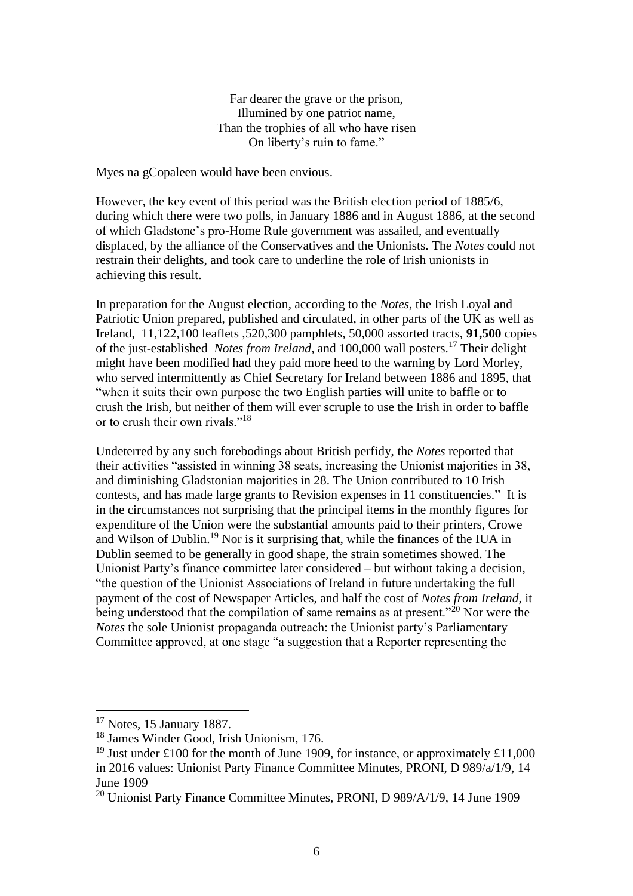Far dearer the grave or the prison, Illumined by one patriot name, Than the trophies of all who have risen On liberty's ruin to fame."

Myes na gCopaleen would have been envious.

However, the key event of this period was the British election period of 1885/6, during which there were two polls, in January 1886 and in August 1886, at the second of which Gladstone's pro-Home Rule government was assailed, and eventually displaced, by the alliance of the Conservatives and the Unionists. The *Notes* could not restrain their delights, and took care to underline the role of Irish unionists in achieving this result.

In preparation for the August election, according to the *Notes*, the Irish Loyal and Patriotic Union prepared, published and circulated, in other parts of the UK as well as Ireland, 11,122,100 leaflets ,520,300 pamphlets, 50,000 assorted tracts, **91,500** copies of the just-established *Notes from Ireland*, and 100,000 wall posters.<sup>17</sup> Their delight might have been modified had they paid more heed to the warning by Lord Morley, who served intermittently as Chief Secretary for Ireland between 1886 and 1895, that "when it suits their own purpose the two English parties will unite to baffle or to crush the Irish, but neither of them will ever scruple to use the Irish in order to baffle or to crush their own rivals."<sup>18</sup>

Undeterred by any such forebodings about British perfidy, the *Notes* reported that their activities "assisted in winning 38 seats, increasing the Unionist majorities in 38, and diminishing Gladstonian majorities in 28. The Union contributed to 10 Irish contests, and has made large grants to Revision expenses in 11 constituencies." It is in the circumstances not surprising that the principal items in the monthly figures for expenditure of the Union were the substantial amounts paid to their printers, Crowe and Wilson of Dublin. <sup>19</sup> Nor is it surprising that, while the finances of the IUA in Dublin seemed to be generally in good shape, the strain sometimes showed. The Unionist Party's finance committee later considered – but without taking a decision, "the question of the Unionist Associations of Ireland in future undertaking the full payment of the cost of Newspaper Articles, and half the cost of *Notes from Ireland*, it being understood that the compilation of same remains as at present."<sup>20</sup> Nor were the *Notes* the sole Unionist propaganda outreach: the Unionist party's Parliamentary Committee approved, at one stage "a suggestion that a Reporter representing the

<sup>17</sup> Notes, 15 January 1887.

<sup>18</sup> James Winder Good, Irish Unionism, 176.

<sup>&</sup>lt;sup>19</sup> Just under £100 for the month of June 1909, for instance, or approximately £11,000 in 2016 values: Unionist Party Finance Committee Minutes, PRONI, D 989/a/1/9, 14 June 1909

<sup>20</sup> Unionist Party Finance Committee Minutes, PRONI, D 989/A/1/9, 14 June 1909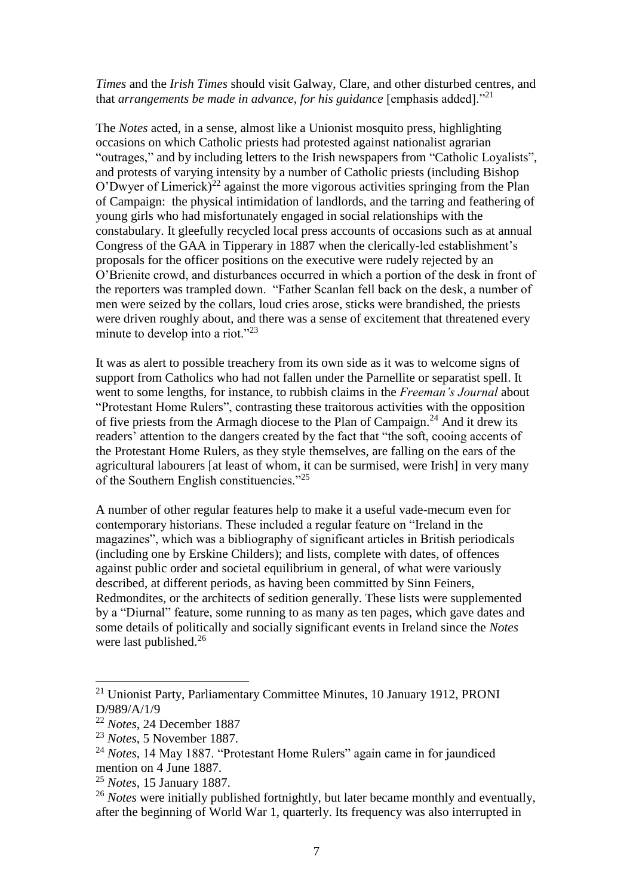*Times* and the *Irish Times* should visit Galway, Clare, and other disturbed centres, and that *arrangements be made in advance, for his guidance* [emphasis added]."<sup>21</sup>

The *Notes* acted, in a sense, almost like a Unionist mosquito press, highlighting occasions on which Catholic priests had protested against nationalist agrarian "outrages," and by including letters to the Irish newspapers from "Catholic Loyalists", and protests of varying intensity by a number of Catholic priests (including Bishop O'Dwyer of Limerick)<sup>22</sup> against the more vigorous activities springing from the Plan of Campaign: the physical intimidation of landlords, and the tarring and feathering of young girls who had misfortunately engaged in social relationships with the constabulary. It gleefully recycled local press accounts of occasions such as at annual Congress of the GAA in Tipperary in 1887 when the clerically-led establishment's proposals for the officer positions on the executive were rudely rejected by an O'Brienite crowd, and disturbances occurred in which a portion of the desk in front of the reporters was trampled down. "Father Scanlan fell back on the desk, a number of men were seized by the collars, loud cries arose, sticks were brandished, the priests were driven roughly about, and there was a sense of excitement that threatened every minute to develop into a riot."<sup>23</sup>

It was as alert to possible treachery from its own side as it was to welcome signs of support from Catholics who had not fallen under the Parnellite or separatist spell. It went to some lengths, for instance, to rubbish claims in the *Freeman's Journal* about "Protestant Home Rulers", contrasting these traitorous activities with the opposition of five priests from the Armagh diocese to the Plan of Campaign.<sup>24</sup> And it drew its readers' attention to the dangers created by the fact that "the soft, cooing accents of the Protestant Home Rulers, as they style themselves, are falling on the ears of the agricultural labourers [at least of whom, it can be surmised, were Irish] in very many of the Southern English constituencies."<sup>25</sup>

A number of other regular features help to make it a useful vade-mecum even for contemporary historians. These included a regular feature on "Ireland in the magazines", which was a bibliography of significant articles in British periodicals (including one by Erskine Childers); and lists, complete with dates, of offences against public order and societal equilibrium in general, of what were variously described, at different periods, as having been committed by Sinn Feiners, Redmondites, or the architects of sedition generally. These lists were supplemented by a "Diurnal" feature, some running to as many as ten pages, which gave dates and some details of politically and socially significant events in Ireland since the *Notes* were last published.<sup>26</sup>

<sup>21</sup> Unionist Party, Parliamentary Committee Minutes, 10 January 1912, PRONI D/989/A/1/9

<sup>22</sup> *Notes*, 24 December 1887

<sup>23</sup> *Notes*, 5 November 1887.

<sup>24</sup> *Notes*, 14 May 1887. "Protestant Home Rulers" again came in for jaundiced mention on 4 June 1887.

<sup>25</sup> *Notes*, 15 January 1887.

<sup>&</sup>lt;sup>26</sup> *Notes* were initially published fortnightly, but later became monthly and eventually, after the beginning of World War 1, quarterly. Its frequency was also interrupted in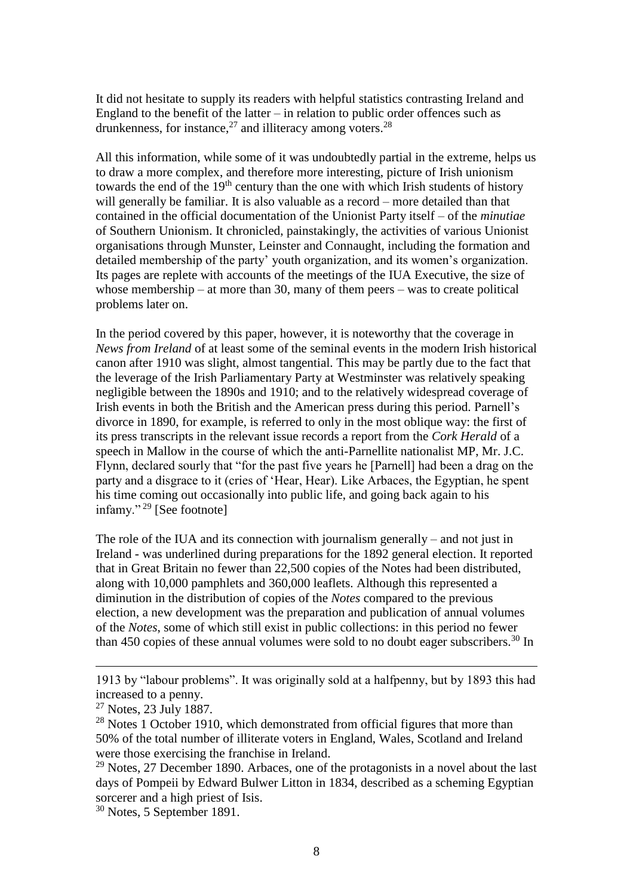It did not hesitate to supply its readers with helpful statistics contrasting Ireland and England to the benefit of the latter  $-\text{ in relation to public order of }$  of fences such as drunkenness, for instance,  $27$  and illiteracy among voters.  $28$ 

All this information, while some of it was undoubtedly partial in the extreme, helps us to draw a more complex, and therefore more interesting, picture of Irish unionism towards the end of the 19<sup>th</sup> century than the one with which Irish students of history will generally be familiar. It is also valuable as a record – more detailed than that contained in the official documentation of the Unionist Party itself – of the *minutiae* of Southern Unionism. It chronicled, painstakingly, the activities of various Unionist organisations through Munster, Leinster and Connaught, including the formation and detailed membership of the party' youth organization, and its women's organization. Its pages are replete with accounts of the meetings of the IUA Executive, the size of whose membership – at more than 30, many of them peers – was to create political problems later on.

In the period covered by this paper, however, it is noteworthy that the coverage in *News from Ireland* of at least some of the seminal events in the modern Irish historical canon after 1910 was slight, almost tangential. This may be partly due to the fact that the leverage of the Irish Parliamentary Party at Westminster was relatively speaking negligible between the 1890s and 1910; and to the relatively widespread coverage of Irish events in both the British and the American press during this period. Parnell's divorce in 1890, for example, is referred to only in the most oblique way: the first of its press transcripts in the relevant issue records a report from the *Cork Herald* of a speech in Mallow in the course of which the anti-Parnellite nationalist MP, Mr. J.C. Flynn, declared sourly that "for the past five years he [Parnell] had been a drag on the party and a disgrace to it (cries of 'Hear, Hear). Like Arbaces, the Egyptian, he spent his time coming out occasionally into public life, and going back again to his infamy." <sup>29</sup> [See footnote]

The role of the IUA and its connection with journalism generally – and not just in Ireland - was underlined during preparations for the 1892 general election. It reported that in Great Britain no fewer than 22,500 copies of the Notes had been distributed, along with 10,000 pamphlets and 360,000 leaflets. Although this represented a diminution in the distribution of copies of the *Notes* compared to the previous election, a new development was the preparation and publication of annual volumes of the *Notes*, some of which still exist in public collections: in this period no fewer than 450 copies of these annual volumes were sold to no doubt eager subscribers.<sup>30</sup> In

1913 by "labour problems". It was originally sold at a halfpenny, but by 1893 this had increased to a penny.

 $\overline{a}$ 

<sup>30</sup> Notes, 5 September 1891.

 $27$  Notes, 23 July 1887.

<sup>&</sup>lt;sup>28</sup> Notes 1 October 1910, which demonstrated from official figures that more than 50% of the total number of illiterate voters in England, Wales, Scotland and Ireland were those exercising the franchise in Ireland.

 $29$  Notes, 27 December 1890. Arbaces, one of the protagonists in a novel about the last days of Pompeii by Edward Bulwer Litton in 1834, described as a scheming Egyptian sorcerer and a high priest of Isis.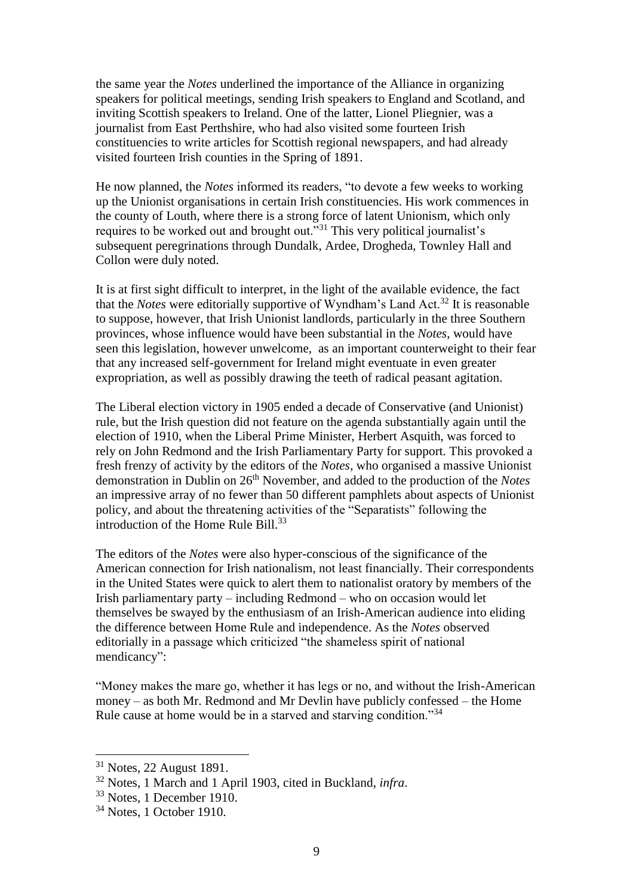the same year the *Notes* underlined the importance of the Alliance in organizing speakers for political meetings, sending Irish speakers to England and Scotland, and inviting Scottish speakers to Ireland. One of the latter, Lionel Pliegnier, was a journalist from East Perthshire, who had also visited some fourteen Irish constituencies to write articles for Scottish regional newspapers, and had already visited fourteen Irish counties in the Spring of 1891.

He now planned, the *Notes* informed its readers, "to devote a few weeks to working up the Unionist organisations in certain Irish constituencies. His work commences in the county of Louth, where there is a strong force of latent Unionism, which only requires to be worked out and brought out."<sup>31</sup> This very political journalist's subsequent peregrinations through Dundalk, Ardee, Drogheda, Townley Hall and Collon were duly noted.

It is at first sight difficult to interpret, in the light of the available evidence, the fact that the *Notes* were editorially supportive of Wyndham's Land Act.<sup>32</sup> It is reasonable to suppose, however, that Irish Unionist landlords, particularly in the three Southern provinces, whose influence would have been substantial in the *Notes*, would have seen this legislation, however unwelcome, as an important counterweight to their fear that any increased self-government for Ireland might eventuate in even greater expropriation, as well as possibly drawing the teeth of radical peasant agitation.

The Liberal election victory in 1905 ended a decade of Conservative (and Unionist) rule, but the Irish question did not feature on the agenda substantially again until the election of 1910, when the Liberal Prime Minister, Herbert Asquith, was forced to rely on John Redmond and the Irish Parliamentary Party for support. This provoked a fresh frenzy of activity by the editors of the *Notes*, who organised a massive Unionist demonstration in Dublin on 26th November, and added to the production of the *Notes* an impressive array of no fewer than 50 different pamphlets about aspects of Unionist policy, and about the threatening activities of the "Separatists" following the introduction of the Home Rule Bill. $^{33}$ 

The editors of the *Notes* were also hyper-conscious of the significance of the American connection for Irish nationalism, not least financially. Their correspondents in the United States were quick to alert them to nationalist oratory by members of the Irish parliamentary party – including Redmond – who on occasion would let themselves be swayed by the enthusiasm of an Irish-American audience into eliding the difference between Home Rule and independence. As the *Notes* observed editorially in a passage which criticized "the shameless spirit of national mendicancy":

"Money makes the mare go, whether it has legs or no, and without the Irish-American money – as both Mr. Redmond and Mr Devlin have publicly confessed – the Home Rule cause at home would be in a starved and starving condition."<sup>34</sup>

<sup>31</sup> Notes, 22 August 1891.

<sup>32</sup> Notes, 1 March and 1 April 1903, cited in Buckland, *infra*.

<sup>33</sup> Notes, 1 December 1910.

 $34$  Notes, 1 October 1910.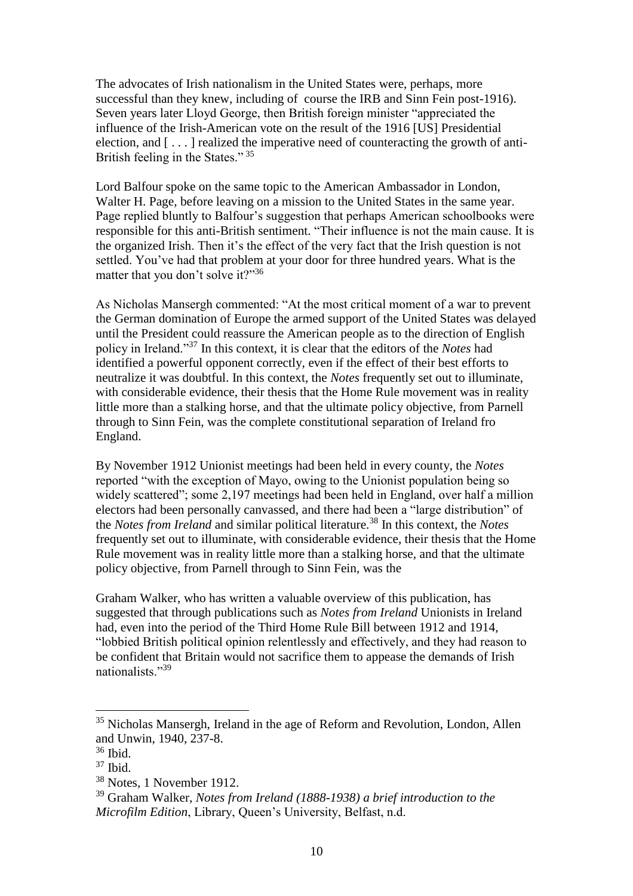The advocates of Irish nationalism in the United States were, perhaps, more successful than they knew, including of course the IRB and Sinn Fein post-1916). Seven years later Lloyd George, then British foreign minister "appreciated the influence of the Irish-American vote on the result of the 1916 [US] Presidential election, and  $[\dots]$  realized the imperative need of counteracting the growth of anti-British feeling in the States."<sup>35</sup>

Lord Balfour spoke on the same topic to the American Ambassador in London, Walter H. Page, before leaving on a mission to the United States in the same year. Page replied bluntly to Balfour's suggestion that perhaps American schoolbooks were responsible for this anti-British sentiment. "Their influence is not the main cause. It is the organized Irish. Then it's the effect of the very fact that the Irish question is not settled. You've had that problem at your door for three hundred years. What is the matter that you don't solve it?"<sup>36</sup>

As Nicholas Mansergh commented: "At the most critical moment of a war to prevent the German domination of Europe the armed support of the United States was delayed until the President could reassure the American people as to the direction of English policy in Ireland."<sup>37</sup> In this context, it is clear that the editors of the *Notes* had identified a powerful opponent correctly, even if the effect of their best efforts to neutralize it was doubtful. In this context, the *Notes* frequently set out to illuminate, with considerable evidence, their thesis that the Home Rule movement was in reality little more than a stalking horse, and that the ultimate policy objective, from Parnell through to Sinn Fein, was the complete constitutional separation of Ireland fro England.

By November 1912 Unionist meetings had been held in every county, the *Notes* reported "with the exception of Mayo, owing to the Unionist population being so widely scattered"; some 2,197 meetings had been held in England, over half a million electors had been personally canvassed, and there had been a "large distribution" of the *Notes from Ireland* and similar political literature.<sup>38</sup> In this context, the *Notes* frequently set out to illuminate, with considerable evidence, their thesis that the Home Rule movement was in reality little more than a stalking horse, and that the ultimate policy objective, from Parnell through to Sinn Fein, was the

Graham Walker, who has written a valuable overview of this publication, has suggested that through publications such as *Notes from Ireland* Unionists in Ireland had, even into the period of the Third Home Rule Bill between 1912 and 1914, "lobbied British political opinion relentlessly and effectively, and they had reason to be confident that Britain would not sacrifice them to appease the demands of Irish nationalists."<sup>39</sup>

<sup>&</sup>lt;sup>35</sup> Nicholas Mansergh, Ireland in the age of Reform and Revolution, London, Allen and Unwin, 1940, 237-8.

<sup>36</sup> Ibid.

 $37$  Ibid.

<sup>38</sup> Notes, 1 November 1912.

<sup>39</sup> Graham Walker, *Notes from Ireland (1888-1938) a brief introduction to the Microfilm Edition*, Library, Queen's University, Belfast, n.d.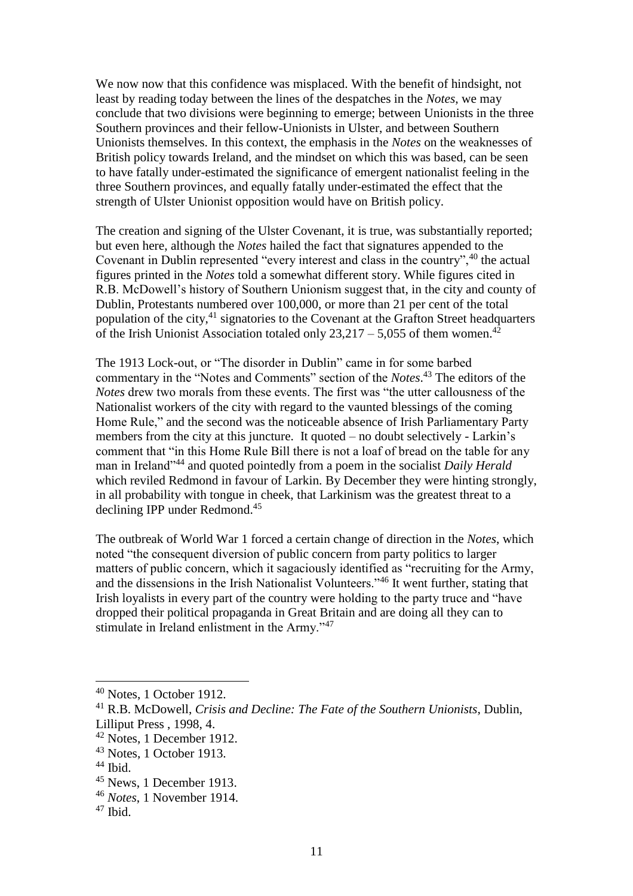We now now that this confidence was misplaced. With the benefit of hindsight, not least by reading today between the lines of the despatches in the *Notes*, we may conclude that two divisions were beginning to emerge; between Unionists in the three Southern provinces and their fellow-Unionists in Ulster, and between Southern Unionists themselves. In this context, the emphasis in the *Notes* on the weaknesses of British policy towards Ireland, and the mindset on which this was based, can be seen to have fatally under-estimated the significance of emergent nationalist feeling in the three Southern provinces, and equally fatally under-estimated the effect that the strength of Ulster Unionist opposition would have on British policy.

The creation and signing of the Ulster Covenant, it is true, was substantially reported; but even here, although the *Notes* hailed the fact that signatures appended to the Covenant in Dublin represented "every interest and class in the country",<sup>40</sup> the actual figures printed in the *Notes* told a somewhat different story. While figures cited in R.B. McDowell's history of Southern Unionism suggest that, in the city and county of Dublin, Protestants numbered over 100,000, or more than 21 per cent of the total population of the city,<sup>41</sup> signatories to the Covenant at the Grafton Street headquarters of the Irish Unionist Association totaled only  $23.217 - 5.055$  of them women.<sup>42</sup>

The 1913 Lock-out, or "The disorder in Dublin" came in for some barbed commentary in the "Notes and Comments" section of the *Notes*. <sup>43</sup> The editors of the *Notes* drew two morals from these events. The first was "the utter callousness of the Nationalist workers of the city with regard to the vaunted blessings of the coming Home Rule," and the second was the noticeable absence of Irish Parliamentary Party members from the city at this juncture. It quoted – no doubt selectively - Larkin's comment that "in this Home Rule Bill there is not a loaf of bread on the table for any man in Ireland"<sup>44</sup> and quoted pointedly from a poem in the socialist *Daily Herald* which reviled Redmond in favour of Larkin. By December they were hinting strongly, in all probability with tongue in cheek, that Larkinism was the greatest threat to a declining IPP under Redmond. 45

The outbreak of World War 1 forced a certain change of direction in the *Notes*, which noted "the consequent diversion of public concern from party politics to larger matters of public concern, which it sagaciously identified as "recruiting for the Army, and the dissensions in the Irish Nationalist Volunteers."<sup>46</sup> It went further, stating that Irish loyalists in every part of the country were holding to the party truce and "have dropped their political propaganda in Great Britain and are doing all they can to stimulate in Ireland enlistment in the Army."<sup>47</sup>

 $40$  Notes, 1 October 1912.

<sup>41</sup> R.B. McDowell, *Crisis and Decline: The Fate of the Southern Unionists*, Dublin, Lilliput Press , 1998, 4.

 $42$  Notes, 1 December 1912.

<sup>43</sup> Notes, 1 October 1913.

 $44$  Ibid.

<sup>45</sup> News, 1 December 1913.

<sup>46</sup> *Notes*, 1 November 1914.

<sup>47</sup> Ibid.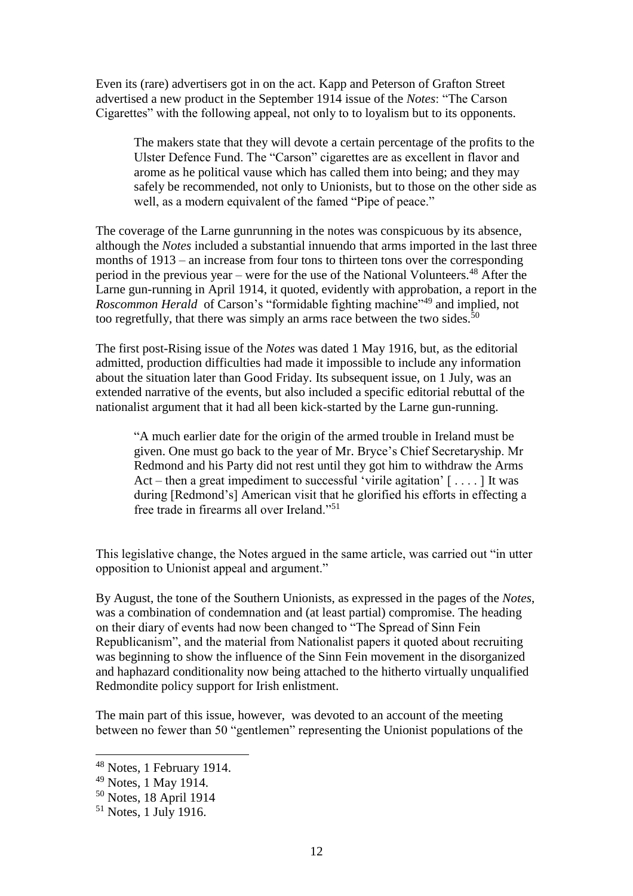Even its (rare) advertisers got in on the act. Kapp and Peterson of Grafton Street advertised a new product in the September 1914 issue of the *Notes*: "The Carson Cigarettes" with the following appeal, not only to to loyalism but to its opponents.

The makers state that they will devote a certain percentage of the profits to the Ulster Defence Fund. The "Carson" cigarettes are as excellent in flavor and arome as he political vause which has called them into being; and they may safely be recommended, not only to Unionists, but to those on the other side as well, as a modern equivalent of the famed "Pipe of peace."

The coverage of the Larne gunrunning in the notes was conspicuous by its absence, although the *Notes* included a substantial innuendo that arms imported in the last three months of 1913 – an increase from four tons to thirteen tons over the corresponding period in the previous year – were for the use of the National Volunteers.<sup>48</sup> After the Larne gun-running in April 1914, it quoted, evidently with approbation, a report in the *Roscommon Herald* of Carson's "formidable fighting machine" <sup>49</sup> and implied, not too regretfully, that there was simply an arms race between the two sides.<sup>50</sup>

The first post-Rising issue of the *Notes* was dated 1 May 1916, but, as the editorial admitted, production difficulties had made it impossible to include any information about the situation later than Good Friday. Its subsequent issue, on 1 July, was an extended narrative of the events, but also included a specific editorial rebuttal of the nationalist argument that it had all been kick-started by the Larne gun-running.

"A much earlier date for the origin of the armed trouble in Ireland must be given. One must go back to the year of Mr. Bryce's Chief Secretaryship. Mr Redmond and his Party did not rest until they got him to withdraw the Arms Act – then a great impediment to successful 'virile agitation' [ . . . . ] It was during [Redmond's] American visit that he glorified his efforts in effecting a free trade in firearms all over Ireland."<sup>51</sup>

This legislative change, the Notes argued in the same article, was carried out "in utter opposition to Unionist appeal and argument."

By August, the tone of the Southern Unionists, as expressed in the pages of the *Notes*, was a combination of condemnation and (at least partial) compromise. The heading on their diary of events had now been changed to "The Spread of Sinn Fein Republicanism", and the material from Nationalist papers it quoted about recruiting was beginning to show the influence of the Sinn Fein movement in the disorganized and haphazard conditionality now being attached to the hitherto virtually unqualified Redmondite policy support for Irish enlistment.

The main part of this issue, however, was devoted to an account of the meeting between no fewer than 50 "gentlemen" representing the Unionist populations of the

<sup>48</sup> Notes, 1 February 1914.

<sup>49</sup> Notes, 1 May 1914.

<sup>50</sup> Notes, 18 April 1914

 $51$  Notes, 1 July 1916.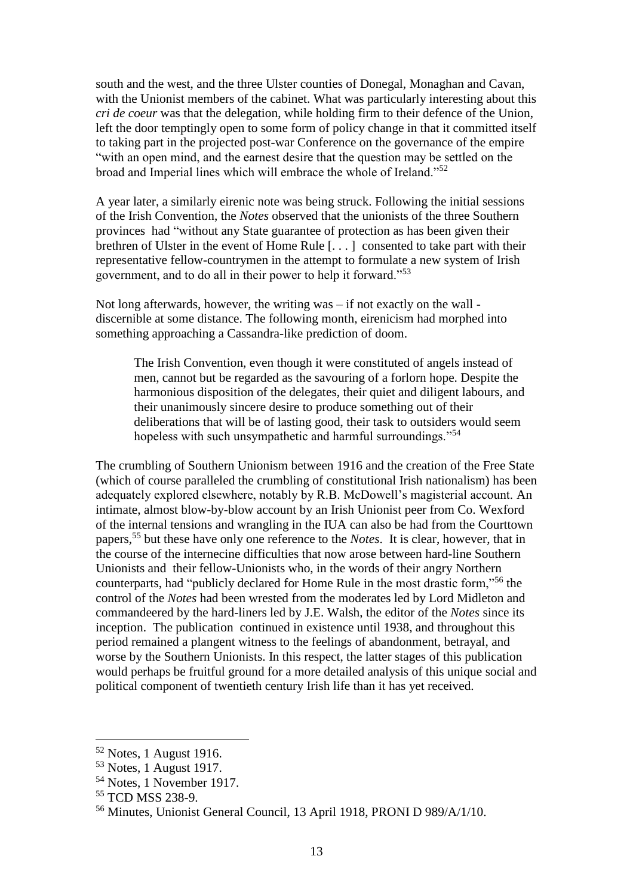south and the west, and the three Ulster counties of Donegal, Monaghan and Cavan, with the Unionist members of the cabinet. What was particularly interesting about this *cri de coeur* was that the delegation, while holding firm to their defence of the Union, left the door temptingly open to some form of policy change in that it committed itself to taking part in the projected post-war Conference on the governance of the empire "with an open mind, and the earnest desire that the question may be settled on the broad and Imperial lines which will embrace the whole of Ireland."<sup>52</sup>

A year later, a similarly eirenic note was being struck. Following the initial sessions of the Irish Convention, the *Notes* observed that the unionists of the three Southern provinces had "without any State guarantee of protection as has been given their brethren of Ulster in the event of Home Rule [. . . ] consented to take part with their representative fellow-countrymen in the attempt to formulate a new system of Irish government, and to do all in their power to help it forward."<sup>53</sup>

Not long afterwards, however, the writing was – if not exactly on the wall discernible at some distance. The following month, eirenicism had morphed into something approaching a Cassandra-like prediction of doom.

The Irish Convention, even though it were constituted of angels instead of men, cannot but be regarded as the savouring of a forlorn hope. Despite the harmonious disposition of the delegates, their quiet and diligent labours, and their unanimously sincere desire to produce something out of their deliberations that will be of lasting good, their task to outsiders would seem hopeless with such unsympathetic and harmful surroundings."<sup>54</sup>

The crumbling of Southern Unionism between 1916 and the creation of the Free State (which of course paralleled the crumbling of constitutional Irish nationalism) has been adequately explored elsewhere, notably by R.B. McDowell's magisterial account. An intimate, almost blow-by-blow account by an Irish Unionist peer from Co. Wexford of the internal tensions and wrangling in the IUA can also be had from the Courttown papers,<sup>55</sup> but these have only one reference to the *Notes*. It is clear, however, that in the course of the internecine difficulties that now arose between hard-line Southern Unionists and their fellow-Unionists who, in the words of their angry Northern counterparts, had "publicly declared for Home Rule in the most drastic form,"<sup>56</sup> the control of the *Notes* had been wrested from the moderates led by Lord Midleton and commandeered by the hard-liners led by J.E. Walsh, the editor of the *Notes* since its inception. The publication continued in existence until 1938, and throughout this period remained a plangent witness to the feelings of abandonment, betrayal, and worse by the Southern Unionists. In this respect, the latter stages of this publication would perhaps be fruitful ground for a more detailed analysis of this unique social and political component of twentieth century Irish life than it has yet received.

 $52$  Notes, 1 August 1916.

<sup>53</sup> Notes, 1 August 1917.

<sup>54</sup> Notes, 1 November 1917.

<sup>&</sup>lt;sup>55</sup> TCD MSS 238-9.

<sup>56</sup> Minutes, Unionist General Council, 13 April 1918, PRONI D 989/A/1/10.